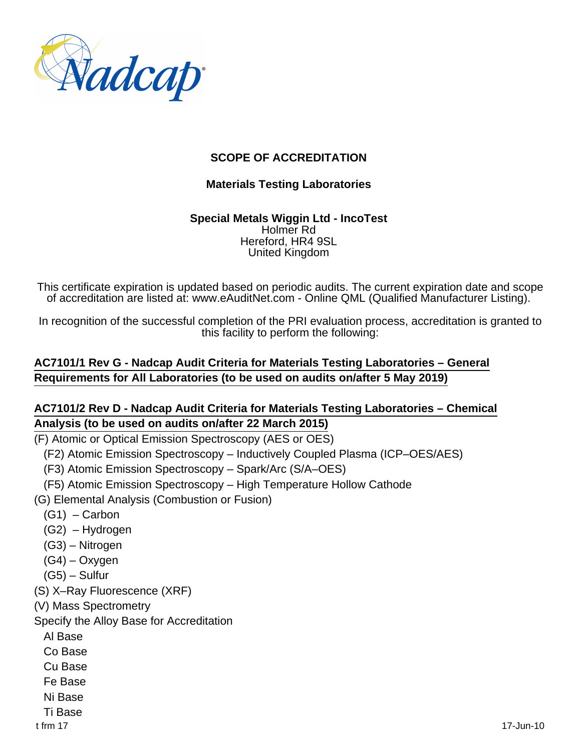

### **SCOPE OF ACCREDITATION**

### **Materials Testing Laboratories**

#### **Special Metals Wiggin Ltd - IncoTest** Holmer Rd Hereford, HR4 9SL United Kingdom

This certificate expiration is updated based on periodic audits. The current expiration date and scope of accreditation are listed at: www.eAuditNet.com - Online QML (Qualified Manufacturer Listing).

In recognition of the successful completion of the PRI evaluation process, accreditation is granted to this facility to perform the following:

# **AC7101/1 Rev G - Nadcap Audit Criteria for Materials Testing Laboratories – General Requirements for All Laboratories (to be used on audits on/after 5 May 2019)**

## **AC7101/2 Rev D - Nadcap Audit Criteria for Materials Testing Laboratories – Chemical Analysis (to be used on audits on/after 22 March 2015)**

(F) Atomic or Optical Emission Spectroscopy (AES or OES)

(F2) Atomic Emission Spectroscopy – Inductively Coupled Plasma (ICP–OES/AES)

(F3) Atomic Emission Spectroscopy – Spark/Arc (S/A–OES)

(F5) Atomic Emission Spectroscopy – High Temperature Hollow Cathode

(G) Elemental Analysis (Combustion or Fusion)

- $(G1)$  Carbon
- (G2) Hydrogen
- (G3) Nitrogen
- (G4) Oxygen
- (G5) Sulfur

(S) X–Ray Fluorescence (XRF)

(V) Mass Spectrometry

Specify the Alloy Base for Accreditation

Al Base

- Co Base
- Cu Base
- Fe Base
- Ni Base
- Ti Base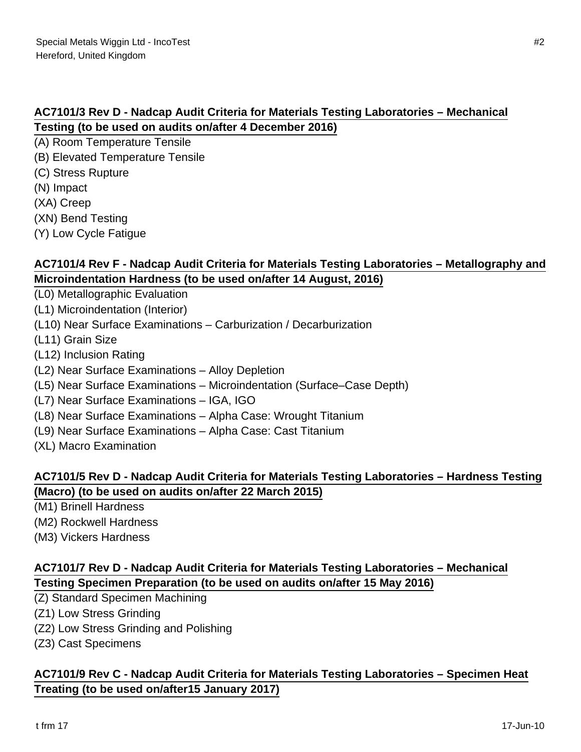### **AC7101/3 Rev D - Nadcap Audit Criteria for Materials Testing Laboratories – Mechanical Testing (to be used on audits on/after 4 December 2016)**

- (A) Room Temperature Tensile
- (B) Elevated Temperature Tensile
- (C) Stress Rupture
- (N) Impact
- (XA) Creep
- (XN) Bend Testing
- (Y) Low Cycle Fatigue

## **AC7101/4 Rev F - Nadcap Audit Criteria for Materials Testing Laboratories – Metallography and Microindentation Hardness (to be used on/after 14 August, 2016)**

- (L0) Metallographic Evaluation
- (L1) Microindentation (Interior)
- (L10) Near Surface Examinations Carburization / Decarburization
- (L11) Grain Size
- (L12) Inclusion Rating
- (L2) Near Surface Examinations Alloy Depletion
- (L5) Near Surface Examinations Microindentation (Surface–Case Depth)
- (L7) Near Surface Examinations IGA, IGO
- (L8) Near Surface Examinations Alpha Case: Wrought Titanium
- (L9) Near Surface Examinations Alpha Case: Cast Titanium
- (XL) Macro Examination

# **AC7101/5 Rev D - Nadcap Audit Criteria for Materials Testing Laboratories – Hardness Testing (Macro) (to be used on audits on/after 22 March 2015)**

- (M1) Brinell Hardness
- (M2) Rockwell Hardness
- (M3) Vickers Hardness

# **AC7101/7 Rev D - Nadcap Audit Criteria for Materials Testing Laboratories – Mechanical Testing Specimen Preparation (to be used on audits on/after 15 May 2016)**

- (Z) Standard Specimen Machining
- (Z1) Low Stress Grinding
- (Z2) Low Stress Grinding and Polishing
- (Z3) Cast Specimens

## **AC7101/9 Rev C - Nadcap Audit Criteria for Materials Testing Laboratories – Specimen Heat Treating (to be used on/after15 January 2017)**